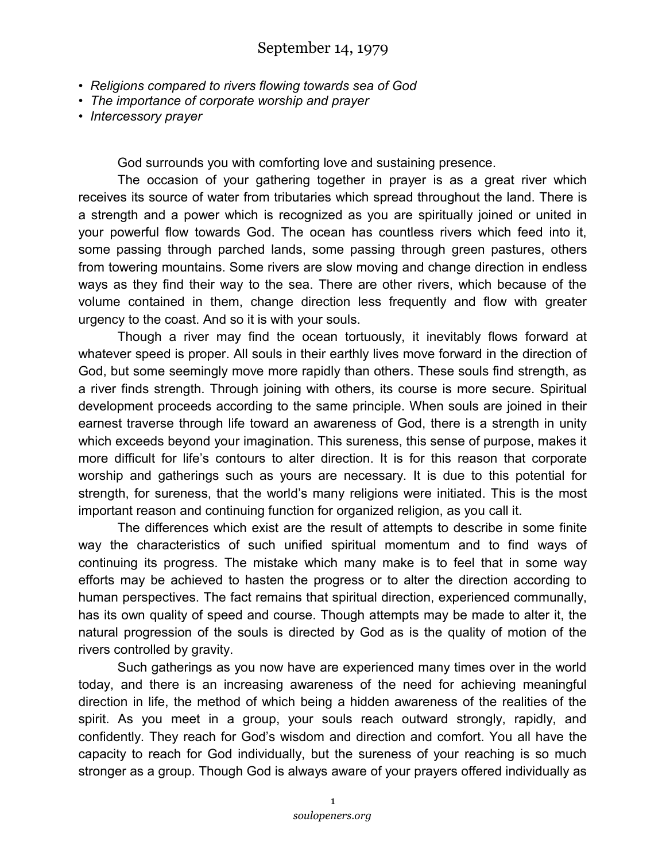- *Religions compared to rivers flowing towards sea of God*
- *The importance of corporate worship and prayer*
- *Intercessory prayer*

God surrounds you with comforting love and sustaining presence.

The occasion of your gathering together in prayer is as a great river which receives its source of water from tributaries which spread throughout the land. There is a strength and a power which is recognized as you are spiritually joined or united in your powerful flow towards God. The ocean has countless rivers which feed into it, some passing through parched lands, some passing through green pastures, others from towering mountains. Some rivers are slow moving and change direction in endless ways as they find their way to the sea. There are other rivers, which because of the volume contained in them, change direction less frequently and flow with greater urgency to the coast. And so it is with your souls.

Though a river may find the ocean tortuously, it inevitably flows forward at whatever speed is proper. All souls in their earthly lives move forward in the direction of God, but some seemingly move more rapidly than others. These souls find strength, as a river finds strength. Through joining with others, its course is more secure. Spiritual development proceeds according to the same principle. When souls are joined in their earnest traverse through life toward an awareness of God, there is a strength in unity which exceeds beyond your imagination. This sureness, this sense of purpose, makes it more difficult for life's contours to alter direction. It is for this reason that corporate worship and gatherings such as yours are necessary. It is due to this potential for strength, for sureness, that the world's many religions were initiated. This is the most important reason and continuing function for organized religion, as you call it.

The differences which exist are the result of attempts to describe in some finite way the characteristics of such unified spiritual momentum and to find ways of continuing its progress. The mistake which many make is to feel that in some way efforts may be achieved to hasten the progress or to alter the direction according to human perspectives. The fact remains that spiritual direction, experienced communally, has its own quality of speed and course. Though attempts may be made to alter it, the natural progression of the souls is directed by God as is the quality of motion of the rivers controlled by gravity.

Such gatherings as you now have are experienced many times over in the world today, and there is an increasing awareness of the need for achieving meaningful direction in life, the method of which being a hidden awareness of the realities of the spirit. As you meet in a group, your souls reach outward strongly, rapidly, and confidently. They reach for God's wisdom and direction and comfort. You all have the capacity to reach for God individually, but the sureness of your reaching is so much stronger as a group. Though God is always aware of your prayers offered individually as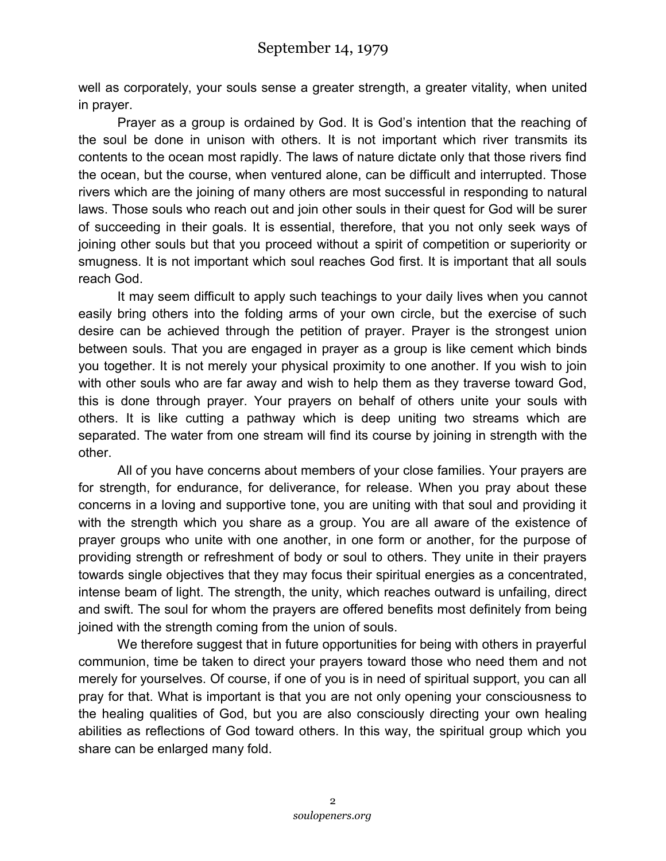well as corporately, your souls sense a greater strength, a greater vitality, when united in prayer.

Prayer as a group is ordained by God. It is God's intention that the reaching of the soul be done in unison with others. It is not important which river transmits its contents to the ocean most rapidly. The laws of nature dictate only that those rivers find the ocean, but the course, when ventured alone, can be difficult and interrupted. Those rivers which are the joining of many others are most successful in responding to natural laws. Those souls who reach out and join other souls in their quest for God will be surer of succeeding in their goals. It is essential, therefore, that you not only seek ways of joining other souls but that you proceed without a spirit of competition or superiority or smugness. It is not important which soul reaches God first. It is important that all souls reach God.

It may seem difficult to apply such teachings to your daily lives when you cannot easily bring others into the folding arms of your own circle, but the exercise of such desire can be achieved through the petition of prayer. Prayer is the strongest union between souls. That you are engaged in prayer as a group is like cement which binds you together. It is not merely your physical proximity to one another. If you wish to join with other souls who are far away and wish to help them as they traverse toward God, this is done through prayer. Your prayers on behalf of others unite your souls with others. It is like cutting a pathway which is deep uniting two streams which are separated. The water from one stream will find its course by joining in strength with the other.

All of you have concerns about members of your close families. Your prayers are for strength, for endurance, for deliverance, for release. When you pray about these concerns in a loving and supportive tone, you are uniting with that soul and providing it with the strength which you share as a group. You are all aware of the existence of prayer groups who unite with one another, in one form or another, for the purpose of providing strength or refreshment of body or soul to others. They unite in their prayers towards single objectives that they may focus their spiritual energies as a concentrated, intense beam of light. The strength, the unity, which reaches outward is unfailing, direct and swift. The soul for whom the prayers are offered benefits most definitely from being joined with the strength coming from the union of souls.

We therefore suggest that in future opportunities for being with others in prayerful communion, time be taken to direct your prayers toward those who need them and not merely for yourselves. Of course, if one of you is in need of spiritual support, you can all pray for that. What is important is that you are not only opening your consciousness to the healing qualities of God, but you are also consciously directing your own healing abilities as reflections of God toward others. In this way, the spiritual group which you share can be enlarged many fold.